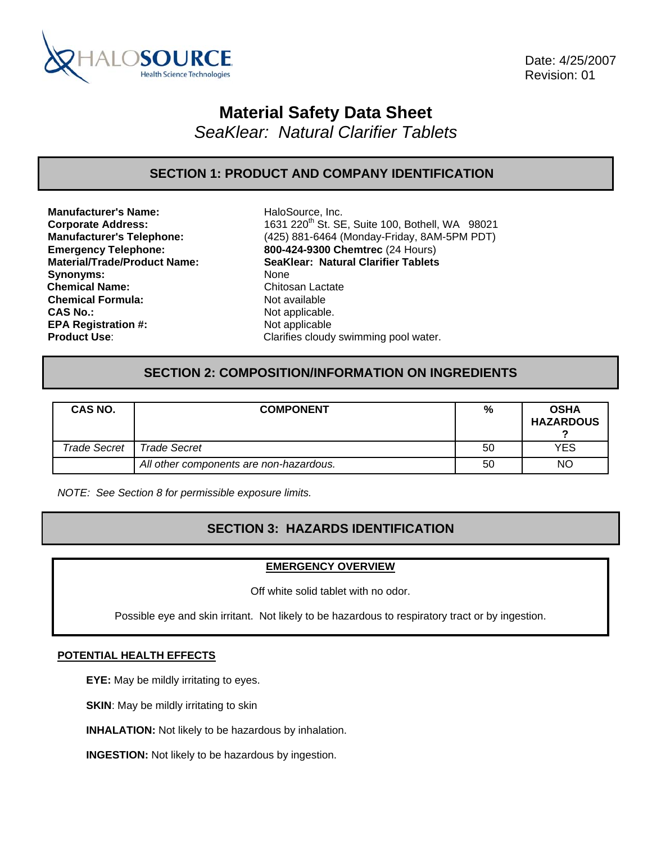

 Date: 4/25/2007 Revision: 01

## **Material Safety Data Sheet**

*SeaKlear: Natural Clarifier Tablets* 

## **SECTION 1: PRODUCT AND COMPANY IDENTIFICATION**

**Manufacturer's Name:** HaloSource, Inc. Synonyms: None **Chemical Name:** Chitosan Lactate **Chemical Formula:** Not available **CAS No.: Not applicable. Not applicable. EPA Registration #:** Not applicable

**Corporate Address:** 1631 220<sup>th</sup> St. SE, Suite 100, Bothell, WA 98021 **Manufacturer's Telephone:** (425) 881-6464 (Monday-Friday, 8AM-5PM PDT) **Emergency Telephone: 800-424-9300 Chemtrec** (24 Hours) **Material/Trade/Product Name: SeaKlear: Natural Clarifier Tablets Product Use:** Clarifies cloudy swimming pool water.

## **SECTION 2: COMPOSITION/INFORMATION ON INGREDIENTS**

| CAS NO.             | <b>COMPONENT</b>                        | %  | <b>OSHA</b><br><b>HAZARDOUS</b> |
|---------------------|-----------------------------------------|----|---------------------------------|
| <b>Trade Secret</b> | Trade Secret                            | 50 | YES                             |
|                     | All other components are non-hazardous. | 50 | <b>NO</b>                       |

*NOTE: See Section 8 for permissible exposure limits.* 

## **SECTION 3: HAZARDS IDENTIFICATION**

#### **EMERGENCY OVERVIEW**

Off white solid tablet with no odor.

Possible eye and skin irritant. Not likely to be hazardous to respiratory tract or by ingestion.

#### **POTENTIAL HEALTH EFFECTS**

**EYE:** May be mildly irritating to eyes.

**SKIN:** May be mildly irritating to skin

**INHALATION:** Not likely to be hazardous by inhalation.

**INGESTION:** Not likely to be hazardous by ingestion.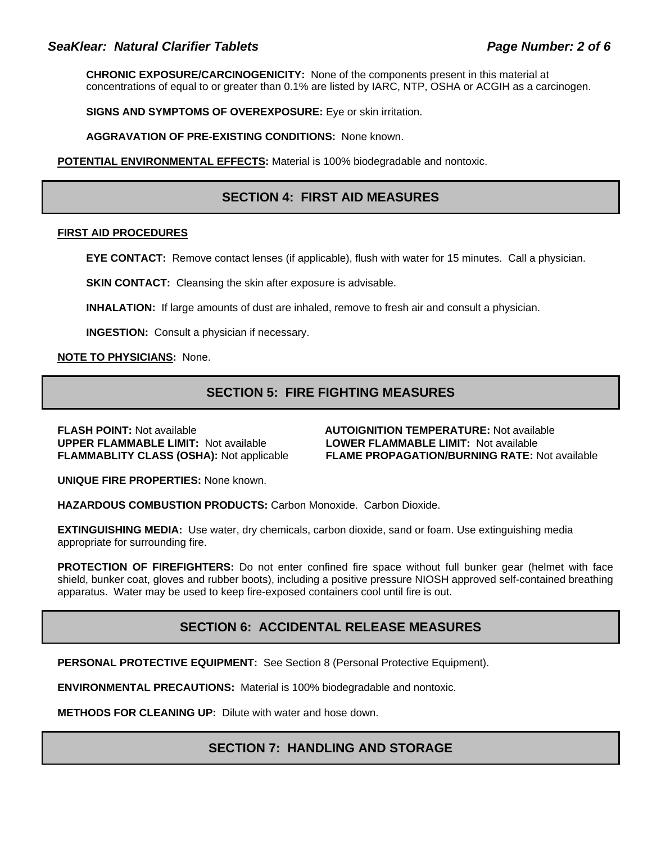### SeaKlear: Natural Clarifier Tablets **Page Number: 2 of 6** and Page Number: 2 of 6

**CHRONIC EXPOSURE/CARCINOGENICITY:** None of the components present in this material at concentrations of equal to or greater than 0.1% are listed by IARC, NTP, OSHA or ACGIH as a carcinogen.

**SIGNS AND SYMPTOMS OF OVEREXPOSURE:** Eye or skin irritation.

**AGGRAVATION OF PRE-EXISTING CONDITIONS:** None known.

**POTENTIAL ENVIRONMENTAL EFFECTS:** Material is 100% biodegradable and nontoxic.

## **SECTION 4: FIRST AID MEASURES**

#### **FIRST AID PROCEDURES**

**EYE CONTACT:** Remove contact lenses (if applicable), flush with water for 15 minutes. Call a physician.

**SKIN CONTACT:** Cleansing the skin after exposure is advisable.

**INHALATION:** If large amounts of dust are inhaled, remove to fresh air and consult a physician.

**INGESTION:** Consult a physician if necessary.

**NOTE TO PHYSICIANS:** None.

## **SECTION 5: FIRE FIGHTING MEASURES**

**FLASH POINT:** Not available **AUTOIGNITION TEMPERATURE:** Not available **UPPER FLAMMABLE LIMIT:** Not available **LOWER FLAMMABLE LIMIT:** Not available

**FLAMMABLITY CLASS (OSHA):** Not applicable **FLAME PROPAGATION/BURNING RATE:** Not available

**UNIQUE FIRE PROPERTIES:** None known.

**HAZARDOUS COMBUSTION PRODUCTS:** Carbon Monoxide. Carbon Dioxide.

**EXTINGUISHING MEDIA:** Use water, dry chemicals, carbon dioxide, sand or foam. Use extinguishing media appropriate for surrounding fire.

**PROTECTION OF FIREFIGHTERS:** Do not enter confined fire space without full bunker gear (helmet with face shield, bunker coat, gloves and rubber boots), including a positive pressure NIOSH approved self-contained breathing apparatus. Water may be used to keep fire-exposed containers cool until fire is out.

## **SECTION 6: ACCIDENTAL RELEASE MEASURES**

**PERSONAL PROTECTIVE EQUIPMENT:** See Section 8 (Personal Protective Equipment).

**ENVIRONMENTAL PRECAUTIONS:** Material is 100% biodegradable and nontoxic.

**METHODS FOR CLEANING UP:** Dilute with water and hose down.

#### **SECTION 7: HANDLING AND STORAGE**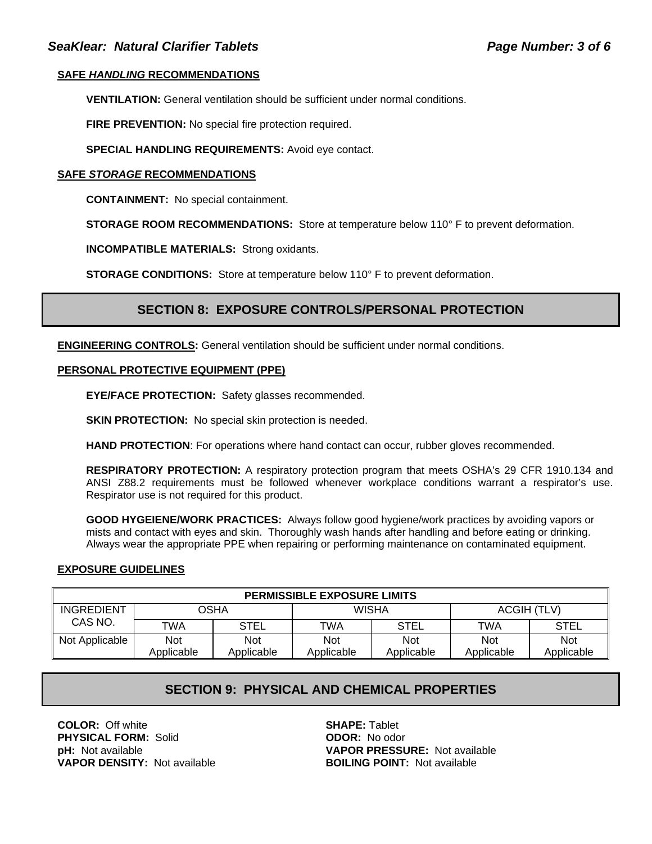#### **SAFE** *HANDLING* **RECOMMENDATIONS**

**VENTILATION:** General ventilation should be sufficient under normal conditions.

**FIRE PREVENTION:** No special fire protection required.

**SPECIAL HANDLING REQUIREMENTS:** Avoid eye contact.

#### **SAFE** *STORAGE* **RECOMMENDATIONS**

**CONTAINMENT:** No special containment.

**STORAGE ROOM RECOMMENDATIONS:** Store at temperature below 110° F to prevent deformation.

**INCOMPATIBLE MATERIALS:** Strong oxidants.

**STORAGE CONDITIONS:** Store at temperature below 110° F to prevent deformation.

## **SECTION 8: EXPOSURE CONTROLS/PERSONAL PROTECTION**

**ENGINEERING CONTROLS:** General ventilation should be sufficient under normal conditions.

#### **PERSONAL PROTECTIVE EQUIPMENT (PPE)**

**EYE/FACE PROTECTION:** Safety glasses recommended.

**SKIN PROTECTION:** No special skin protection is needed.

**HAND PROTECTION**: For operations where hand contact can occur, rubber gloves recommended.

**RESPIRATORY PROTECTION:** A respiratory protection program that meets OSHA's 29 CFR 1910.134 and ANSI Z88.2 requirements must be followed whenever workplace conditions warrant a respirator's use. Respirator use is not required for this product.

**GOOD HYGEIENE/WORK PRACTICES:** Always follow good hygiene/work practices by avoiding vapors or mists and contact with eyes and skin. Thoroughly wash hands after handling and before eating or drinking. Always wear the appropriate PPE when repairing or performing maintenance on contaminated equipment.

#### **EXPOSURE GUIDELINES**

| <b>PERMISSIBLE EXPOSURE LIMITS</b> |             |            |              |             |             |             |
|------------------------------------|-------------|------------|--------------|-------------|-------------|-------------|
| <b>INGREDIENT</b>                  | <b>OSHA</b> |            | <b>WISHA</b> |             | ACGIH (TLV) |             |
| CAS NO.                            | TWA         | STEL       | TWA          | <b>STEL</b> | TWA         | <b>STEL</b> |
| Not Applicable                     | <b>Not</b>  | <b>Not</b> | Not          | <b>Not</b>  | <b>Not</b>  | Not         |
|                                    | Applicable  | Applicable | Applicable   | Applicable  | Applicable  | Applicable  |

## **SECTION 9: PHYSICAL AND CHEMICAL PROPERTIES**

**COLOR:** Off white **SHAPE:** Tablet **PHYSICAL FORM:** Solid **ODOR:** No odor **VAPOR DENSITY:** Not available **BOILING POINT:** Not available

**pH:** Not available **VAPOR PRESSURE:** Not available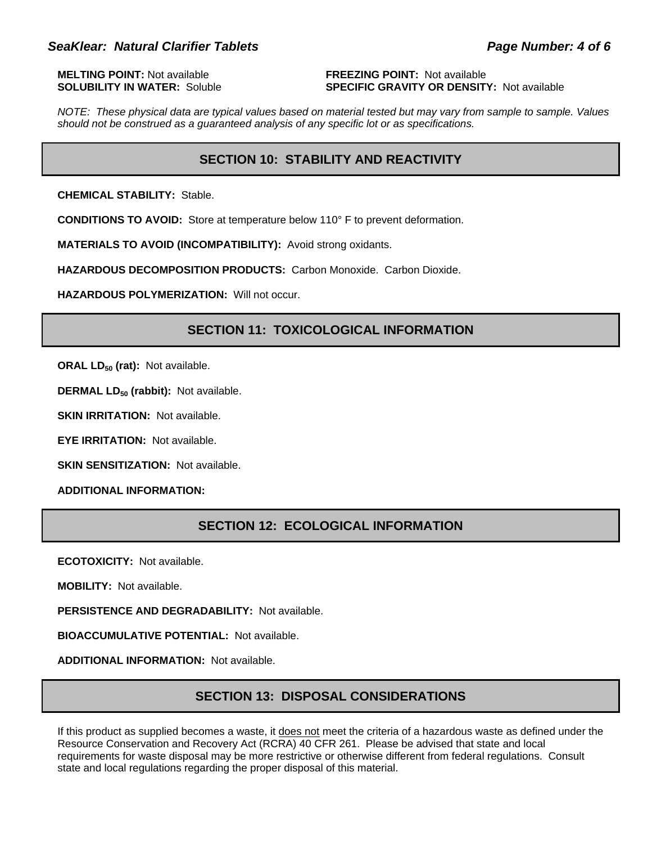**MELTING POINT:** Not available **FREEZING POINT:** Not available

# **SOLUBILITY IN WATER:** Soluble **SPECIFIC GRAVITY OR DENSITY:** Not available

*NOTE: These physical data are typical values based on material tested but may vary from sample to sample. Values should not be construed as a guaranteed analysis of any specific lot or as specifications.*

## **SECTION 10: STABILITY AND REACTIVITY**

**CHEMICAL STABILITY:** Stable.

**CONDITIONS TO AVOID:** Store at temperature below 110° F to prevent deformation.

**MATERIALS TO AVOID (INCOMPATIBILITY):** Avoid strong oxidants.

**HAZARDOUS DECOMPOSITION PRODUCTS:** Carbon Monoxide. Carbon Dioxide.

**HAZARDOUS POLYMERIZATION:** Will not occur.

## **SECTION 11: TOXICOLOGICAL INFORMATION**

**ORAL LD<sub>50</sub> (rat):** Not available.

**DERMAL LD<sub>50</sub> (rabbit):** Not available.

**SKIN IRRITATION: Not available.** 

**EYE IRRITATION:** Not available.

**SKIN SENSITIZATION: Not available.** 

**ADDITIONAL INFORMATION:**

### **SECTION 12: ECOLOGICAL INFORMATION**

**ECOTOXICITY:** Not available.

**MOBILITY:** Not available.

**PERSISTENCE AND DEGRADABILITY:** Not available.

**BIOACCUMULATIVE POTENTIAL:** Not available.

**ADDITIONAL INFORMATION:** Not available.

## **SECTION 13: DISPOSAL CONSIDERATIONS**

If this product as supplied becomes a waste, it does not meet the criteria of a hazardous waste as defined under the Resource Conservation and Recovery Act (RCRA) 40 CFR 261. Please be advised that state and local requirements for waste disposal may be more restrictive or otherwise different from federal regulations. Consult state and local regulations regarding the proper disposal of this material.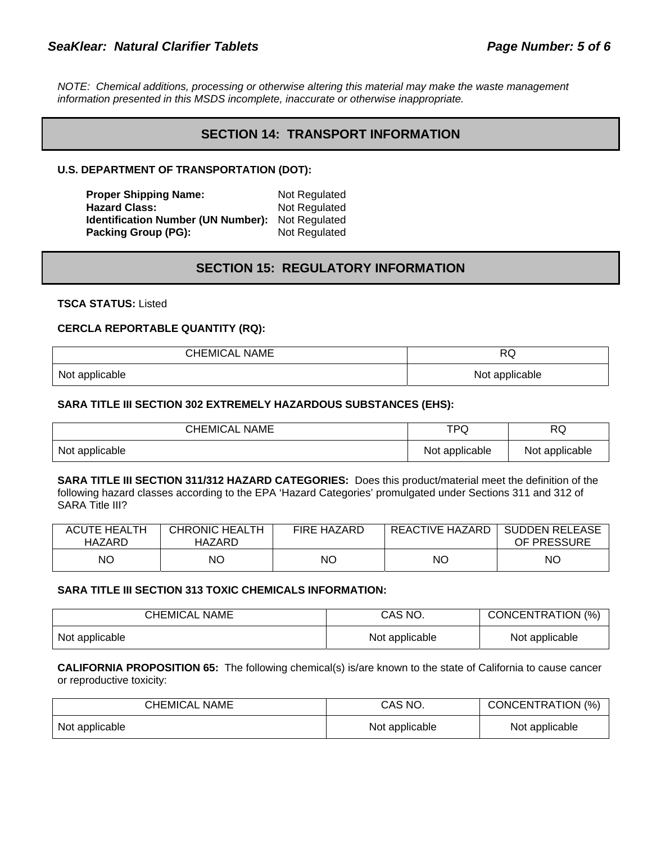*NOTE: Chemical additions, processing or otherwise altering this material may make the waste management information presented in this MSDS incomplete, inaccurate or otherwise inappropriate.* 

### **SECTION 14: TRANSPORT INFORMATION**

#### **U.S. DEPARTMENT OF TRANSPORTATION (DOT):**

**Proper Shipping Name:** Not Regulated Hazard Class: Not Regulated **Identification Number (UN Number):** Not Regulated **Packing Group (PG):** Not Regulated

## **SECTION 15: REGULATORY INFORMATION**

**TSCA STATUS:** Listed

#### **CERCLA REPORTABLE QUANTITY (RQ):**

| <b>CHEMICAL NAME</b> | D<br>ヽ〜        |
|----------------------|----------------|
| Not applicable       | Not applicable |

#### **SARA TITLE III SECTION 302 EXTREMELY HAZARDOUS SUBSTANCES (EHS):**

| <b>CHEMICAL NAME</b> | <b>TPQ</b>     | D <sub>(</sub><br>へしょ |
|----------------------|----------------|-----------------------|
| Not applicable       | Not applicable | Not applicable        |

**SARA TITLE III SECTION 311/312 HAZARD CATEGORIES:** Does this product/material meet the definition of the following hazard classes according to the EPA 'Hazard Categories' promulgated under Sections 311 and 312 of SARA Title III?

| <b>ACUTE HEALTH</b> | <b>CHRONIC HEALTH</b> | <b>FIRE HAZARD</b> | REACTIVE HAZARD | <b>SUDDEN RELEASE</b> |
|---------------------|-----------------------|--------------------|-----------------|-----------------------|
| HAZARD              | HAZARD                |                    |                 | OF PRESSURE           |
| NΟ                  | NΟ                    | NΟ                 | NC              | NΟ                    |

#### **SARA TITLE III SECTION 313 TOXIC CHEMICALS INFORMATION:**

| <b>CHEMICAL NAME</b> | CAS NO.        | CONCENTRATION (%) |
|----------------------|----------------|-------------------|
| Not applicable       | Not applicable | Not applicable    |

**CALIFORNIA PROPOSITION 65:** The following chemical(s) is/are known to the state of California to cause cancer or reproductive toxicity:

| CHEMICAL NAME  | CAS NO.        | CONCENTRATION (%) |
|----------------|----------------|-------------------|
| Not applicable | Not applicable | Not applicable    |